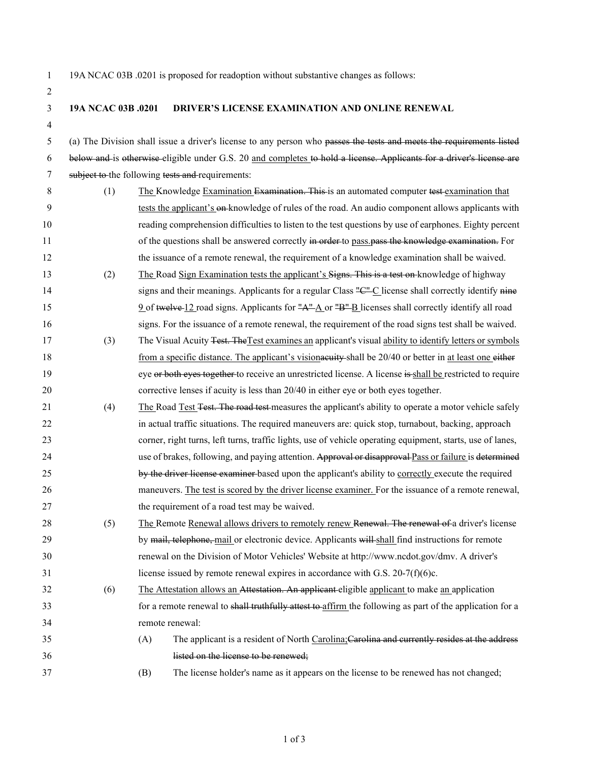2

1 19A NCAC 03B .0201 is proposed for readoption without substantive changes as follows:

## 3 **19A NCAC 03B .0201 DRIVER'S LICENSE EXAMINATION AND ONLINE RENEWAL**

4

5 (a) The Division shall issue a driver's license to any person who passes the tests and meets the requirements listed 6 below and is otherwise eligible under G.S. 20 and completes to hold a license. Applicants for a driver's license are 7 subject to the following tests and requirements:

- 8 (1) The Knowledge Examination Examination. This is an automated computer test examination that 9 tests the applicant's on knowledge of rules of the road. An audio component allows applicants with 10 reading comprehension difficulties to listen to the test questions by use of earphones. Eighty percent 11 of the questions shall be answered correctly in order to pass pass the knowledge examination. For 12 the issuance of a remote renewal, the requirement of a knowledge examination shall be waived.
- 13 (2) The Road Sign Examination tests the applicant's Signs. This is a test on knowledge of highway 14 signs and their meanings. Applicants for a regular Class "C" C license shall correctly identify nine 15 9 of twelve 12 road signs. Applicants for  $\frac{n}{2}$  or  $\frac{n}{2}$  licenses shall correctly identify all road 16 signs. For the issuance of a remote renewal, the requirement of the road signs test shall be waived.
- 17 (3) The Visual Acuity Test. The Test examines an applicant's visual ability to identify letters or symbols 18 from a specific distance. The applicant's visional be 20/40 or better in at least one either 19 eye or both eyes to gether to receive an unrestricted license. A license is shall be restricted to require 20 corrective lenses if acuity is less than 20/40 in either eye or both eyes together.
- 21 (4) The Road Test Test. The road test measures the applicant's ability to operate a motor vehicle safely 22 in actual traffic situations. The required maneuvers are: quick stop, turnabout, backing, approach 23 corner, right turns, left turns, traffic lights, use of vehicle operating equipment, starts, use of lanes, 24 use of brakes, following, and paying attention. Approval or disapproval Pass or failure is determined 25 by the driver license examiner based upon the applicant's ability to correctly execute the required 26 maneuvers. The test is scored by the driver license examiner. For the issuance of a remote renewal, 27 the requirement of a road test may be waived.
- 28 (5) The Remote Renewal allows drivers to remotely renew Renewal. The renewal of a driver's license 29 by mail, telephone, mail or electronic device. Applicants will shall find instructions for remote 30 renewal on the Division of Motor Vehicles' Website at http://www.ncdot.gov/dmv. A driver's 31 license issued by remote renewal expires in accordance with G.S. 20-7(f)(6)c.
- 32 (6) The Attestation allows an Attestation. An applicant eligible applicant to make an application 33 for a remote renewal to shall truthfully attest to affirm the following as part of the application for a 34 remote renewal:
- 35 (A) The applicant is a resident of North Carolina;Carolina and currently resides at the address 36 listed on the license to be renewed;
- 37 (B) The license holder's name as it appears on the license to be renewed has not changed;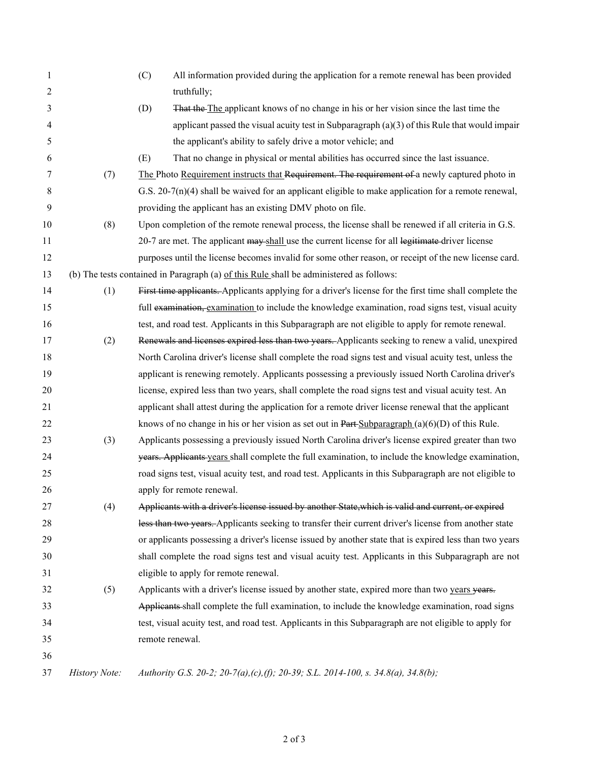| 1                                                                                             |               | (C)<br>All information provided during the application for a remote renewal has been provided           |
|-----------------------------------------------------------------------------------------------|---------------|---------------------------------------------------------------------------------------------------------|
| 2                                                                                             |               | truthfully;                                                                                             |
| 3                                                                                             |               | That the The applicant knows of no change in his or her vision since the last time the<br>(D)           |
| 4                                                                                             |               | applicant passed the visual acuity test in Subparagraph $(a)(3)$ of this Rule that would impair         |
| 5                                                                                             |               | the applicant's ability to safely drive a motor vehicle; and                                            |
| 6                                                                                             |               | (E)<br>That no change in physical or mental abilities has occurred since the last issuance.             |
| 7                                                                                             | (7)           | The Photo Requirement instructs that Requirement. The requirement of a newly captured photo in          |
| 8                                                                                             |               | G.S. $20-7(n)(4)$ shall be waived for an applicant eligible to make application for a remote renewal,   |
| 9                                                                                             |               | providing the applicant has an existing DMV photo on file.                                              |
| 10                                                                                            | (8)           | Upon completion of the remote renewal process, the license shall be renewed if all criteria in G.S.     |
| 11                                                                                            |               | 20-7 are met. The applicant may shall use the current license for all legitimate driver license         |
| 12                                                                                            |               | purposes until the license becomes invalid for some other reason, or receipt of the new license card.   |
| (b) The tests contained in Paragraph (a) of this Rule shall be administered as follows:<br>13 |               |                                                                                                         |
| 14                                                                                            | (1)           | First time applicants. Applicants applying for a driver's license for the first time shall complete the |
| 15                                                                                            |               | full examination, examination to include the knowledge examination, road signs test, visual acuity      |
| 16                                                                                            |               | test, and road test. Applicants in this Subparagraph are not eligible to apply for remote renewal.      |
| 17                                                                                            | (2)           | Renewals and licenses expired less than two years. Applicants seeking to renew a valid, unexpired       |
| 18                                                                                            |               | North Carolina driver's license shall complete the road signs test and visual acuity test, unless the   |
| 19                                                                                            |               | applicant is renewing remotely. Applicants possessing a previously issued North Carolina driver's       |
| 20                                                                                            |               | license, expired less than two years, shall complete the road signs test and visual acuity test. An     |
| 21                                                                                            |               | applicant shall attest during the application for a remote driver license renewal that the applicant    |
| 22                                                                                            |               | knows of no change in his or her vision as set out in Part-Subparagraph $(a)(6)(D)$ of this Rule.       |
| 23                                                                                            | (3)           | Applicants possessing a previously issued North Carolina driver's license expired greater than two      |
| 24                                                                                            |               | years. Applicants years shall complete the full examination, to include the knowledge examination,      |
| 25                                                                                            |               | road signs test, visual acuity test, and road test. Applicants in this Subparagraph are not eligible to |
| 26                                                                                            |               | apply for remote renewal.                                                                               |
| 27                                                                                            | (4)           | Applicants with a driver's license issued by another State, which is valid and current, or expired      |
| 28                                                                                            |               | less than two years. Applicants seeking to transfer their current driver's license from another state   |
| 29                                                                                            |               | or applicants possessing a driver's license issued by another state that is expired less than two years |
| 30                                                                                            |               | shall complete the road signs test and visual acuity test. Applicants in this Subparagraph are not      |
| 31                                                                                            |               | eligible to apply for remote renewal.                                                                   |
| 32                                                                                            | (5)           | Applicants with a driver's license issued by another state, expired more than two years years.          |
| 33                                                                                            |               | Applicants shall complete the full examination, to include the knowledge examination, road signs        |
| 34                                                                                            |               | test, visual acuity test, and road test. Applicants in this Subparagraph are not eligible to apply for  |
| 35                                                                                            |               | remote renewal.                                                                                         |
| 36                                                                                            |               |                                                                                                         |
| 37                                                                                            | History Note: | Authority G.S. 20-2; 20-7(a),(c),(f); 20-39; S.L. 2014-100, s. 34.8(a), 34.8(b);                        |